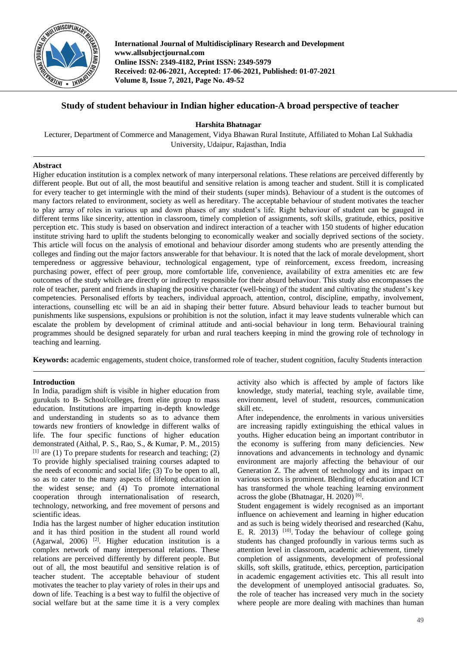

**International Journal of Multidisciplinary Research and Development www.allsubjectjournal.com Online ISSN: 2349-4182, Print ISSN: 2349-5979 Received: 02-06-2021, Accepted: 17-06-2021, Published: 01-07-2021 Volume 8, Issue 7, 2021, Page No. 49-52**

# **Study of student behaviour in Indian higher education-A broad perspective of teacher**

**Harshita Bhatnagar**

Lecturer, Department of Commerce and Management, Vidya Bhawan Rural Institute, Affiliated to Mohan Lal Sukhadia University, Udaipur, Rajasthan, India

# **Abstract**

Higher education institution is a complex network of many interpersonal relations. These relations are perceived differently by different people. But out of all, the most beautiful and sensitive relation is among teacher and student. Still it is complicated for every teacher to get intermingle with the mind of their students (super minds). Behaviour of a student is the outcomes of many factors related to environment, society as well as hereditary. The acceptable behaviour of student motivates the teacher to play array of roles in various up and down phases of any student's life. Right behaviour of student can be gauged in different terms like sincerity, attention in classroom, timely completion of assignments, soft skills, gratitude, ethics, positive perception etc. This study is based on observation and indirect interaction of a teacher with 150 students of higher education institute striving hard to uplift the students belonging to economically weaker and socially deprived sections of the society. This article will focus on the analysis of emotional and behaviour disorder among students who are presently attending the colleges and finding out the major factors answerable for that behaviour. It is noted that the lack of morale development, short temperedness or aggressive behaviour, technological engagement, type of reinforcement, excess freedom, increasing purchasing power, effect of peer group, more comfortable life, convenience, availability of extra amenities etc are few outcomes of the study which are directly or indirectly responsible for their absurd behaviour. This study also encompasses the role of teacher, parent and friends in shaping the positive character (well-being) of the student and cultivating the student's key competencies. Personalised efforts by teachers, individual approach, attention, control, discipline, empathy, involvement, interactions, counselling etc will be an aid in shaping their better future. Absurd behaviour leads to teacher burnout but punishments like suspensions, expulsions or prohibition is not the solution, infact it may leave students vulnerable which can escalate the problem by development of criminal attitude and anti-social behaviour in long term. Behavioural training programmes should be designed separately for urban and rural teachers keeping in mind the growing role of technology in teaching and learning.

**Keywords:** academic engagements, student choice, transformed role of teacher, student cognition, faculty Students interaction

# **Introduction**

In India, paradigm shift is visible in higher education from gurukuls to B- School/colleges, from elite group to mass education. Institutions are imparting in-depth knowledge and understanding in students so as to advance them towards new frontiers of knowledge in different walks of life. The four specific functions of higher education demonstrated (Aithal, P. S., Rao, S., & Kumar, P. M., 2015)  $[1]$  are (1) To prepare students for research and teaching; (2) To provide highly specialised training courses adapted to the needs of economic and social life; (3) To be open to all, so as to cater to the many aspects of lifelong education in the widest sense; and (4) To promote international cooperation through internationalisation of research, technology, networking, and free movement of persons and scientific ideas.

India has the largest number of higher education institution and it has third position in the student all round world (Agarwal, 2006) [2] . Higher education institution is a complex network of many interpersonal relations. These relations are perceived differently by different people. But out of all, the most beautiful and sensitive relation is of teacher student. The acceptable behaviour of student motivates the teacher to play variety of roles in their ups and down of life. Teaching is a best way to fulfil the objective of social welfare but at the same time it is a very complex

activity also which is affected by ample of factors like knowledge, study material, teaching style, available time, environment, level of student, resources, communication skill etc.

After independence, the enrolments in various universities are increasing rapidly extinguishing the ethical values in youths. Higher education being an important contributor in the economy is suffering from many deficiencies. New innovations and advancements in technology and dynamic environment are majorly affecting the behaviour of our Generation Z. The advent of technology and its impact on various sectors is prominent. Blending of education and ICT has transformed the whole teaching learning environment across the globe (Bhatnagar, H. 2020)<sup>[6]</sup>.

Student engagement is widely recognised as an important influence on achievement and learning in higher education and as such is being widely theorised and researched (Kahu, E. R. 2013) <sup>[10]</sup>. Today the behaviour of college going students has changed profoundly in various terms such as attention level in classroom, academic achievement, timely completion of assignments, development of professional skills, soft skills, gratitude, ethics, perception, participation in academic engagement activities etc. This all result into the development of unemployed antisocial graduates. So, the role of teacher has increased very much in the society where people are more dealing with machines than human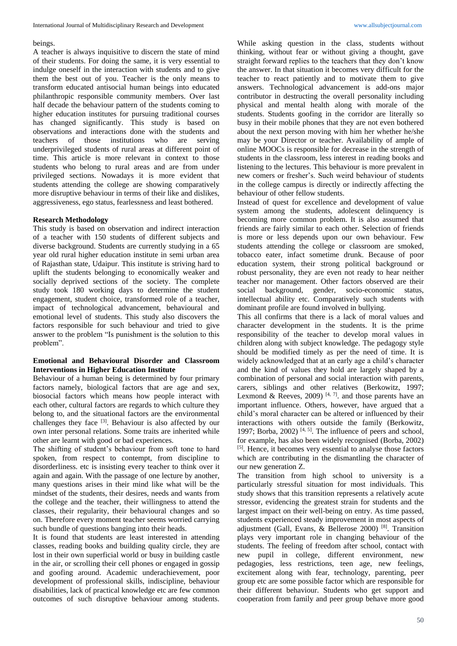### beings.

A teacher is always inquisitive to discern the state of mind of their students. For doing the same, it is very essential to indulge oneself in the interaction with students and to give them the best out of you. Teacher is the only means to transform educated antisocial human beings into educated philanthropic responsible community members. Over last half decade the behaviour pattern of the students coming to higher education institutes for pursuing traditional courses has changed significantly. This study is based on observations and interactions done with the students and teachers of those institutions who are serving underprivileged students of rural areas at different point of time. This article is more relevant in context to those students who belong to rural areas and are from under privileged sections. Nowadays it is more evident that students attending the college are showing comparatively more disruptive behaviour in terms of their like and dislikes, aggressiveness, ego status, fearlessness and least bothered.

# **Research Methodology**

This study is based on observation and indirect interaction of a teacher with 150 students of different subjects and diverse background. Students are currently studying in a 65 year old rural higher education institute in semi urban area of Rajasthan state, Udaipur. This institute is striving hard to uplift the students belonging to economically weaker and socially deprived sections of the society. The complete study took 180 working days to determine the student engagement, student choice, transformed role of a teacher, impact of technological advancement, behavioural and emotional level of students. This study also discovers the factors responsible for such behaviour and tried to give answer to the problem "Is punishment is the solution to this problem".

## **Emotional and Behavioural Disorder and Classroom Interventions in Higher Education Institute**

Behaviour of a human being is determined by four primary factors namely, biological factors that are age and sex, biosocial factors which means how people interact with each other, cultural factors are regards to which culture they belong to, and the situational factors are the environmental challenges they face [3]. Behaviour is also affected by our own inter personal relations. Some traits are inherited while other are learnt with good or bad experiences.

The shifting of student's behaviour from soft tone to hard spoken, from respect to contempt, from discipline to disorderliness. etc is insisting every teacher to think over it again and again. With the passage of one lecture by another, many questions arises in their mind like what will be the mindset of the students, their desires, needs and wants from the college and the teacher, their willingness to attend the classes, their regularity, their behavioural changes and so on. Therefore every moment teacher seems worried carrying such bundle of questions banging into their heads.

It is found that students are least interested in attending classes, reading books and building quality circle, they are lost in their own superficial world or busy in building castle in the air, or scrolling their cell phones or engaged in gossip and goofing around. Academic underachievement, poor development of professional skills, indiscipline, behaviour disabilities, lack of practical knowledge etc are few common outcomes of such disruptive behaviour among students.

While asking question in the class, students without thinking, without fear or without giving a thought, gave straight forward replies to the teachers that they don't know the answer. In that situation it becomes very difficult for the teacher to react patiently and to motivate them to give answers. Technological advancement is add-ons major contributor in destructing the overall personality including physical and mental health along with morale of the students. Students goofing in the corridor are literally so busy in their mobile phones that they are not even bothered about the next person moving with him her whether he/she may be your Director or teacher. Availability of ample of online MOOCs is responsible for decrease in the strength of students in the classroom, less interest in reading books and listening to the lectures. This behaviour is more prevalent in new comers or fresher's. Such weird behaviour of students in the college campus is directly or indirectly affecting the behaviour of other fellow students.

Instead of quest for excellence and development of value system among the students, adolescent delinquency is becoming more common problem. It is also assumed that friends are fairly similar to each other. Selection of friends is more or less depends upon our own behaviour. Few students attending the college or classroom are smoked, tobacco eater, infact sometime drunk. Because of poor education system, their strong political background or robust personality, they are even not ready to hear neither teacher nor management. Other factors observed are their social background, gender, socio-economic status, intellectual ability etc. Comparatively such students with dominant profile are found involved in bullying.

This all confirms that there is a lack of moral values and character development in the students. It is the prime responsibility of the teacher to develop moral values in children along with subject knowledge. The pedagogy style should be modified timely as per the need of time. It is widely acknowledged that at an early age a child's character and the kind of values they hold are largely shaped by a combination of personal and social interaction with parents, carers, siblings and other relatives (Berkowitz, 1997; Lexmond & Reeves, 2009)<sup>[4, 7]</sup> and those parents have an important influence. Others, however, have argued that a child's moral character can be altered or influenced by their interactions with others outside the family (Berkowitz, 1997; Borba, 2002)<sup>[4, 5]</sup>. The influence of peers and school, for example, has also been widely recognised (Borba, 2002) [5] . Hence, it becomes very essential to analyse those factors which are contributing in the dismantling the character of our new generation Z.

The transition from high school to university is a particularly stressful situation for most individuals. This study shows that this transition represents a relatively acute stressor, evidencing the greatest strain for students and the largest impact on their well-being on entry. As time passed, students experienced steady improvement in most aspects of adjustment (Gall, Evans, & Bellerose 2000) [8] . Transition plays very important role in changing behaviour of the students. The feeling of freedom after school, contact with new pupil in college, different environment, new pedagogies, less restrictions, teen age, new feelings, excitement along with fear, technology, parenting, peer group etc are some possible factor which are responsible for their different behaviour. Students who get support and cooperation from family and peer group behave more good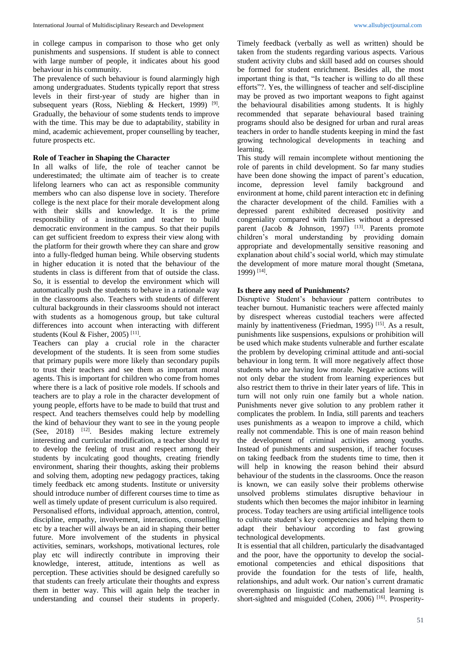in college campus in comparison to those who get only punishments and suspensions. If student is able to connect with large number of people, it indicates about his good behaviour in his community.

The prevalence of such behaviour is found alarmingly high among undergraduates. Students typically report that stress levels in their first-year of study are higher than in subsequent years (Ross, Niebling & Heckert, 1999)<sup>[9]</sup>. Gradually, the behaviour of some students tends to improve with the time. This may be due to adaptability, stability in mind, academic achievement, proper counselling by teacher, future prospects etc.

## **Role of Teacher in Shaping the Character**

In all walks of life, the role of teacher cannot be underestimated; the ultimate aim of teacher is to create lifelong learners who can act as responsible community members who can also dispense love in society. Therefore college is the next place for their morale development along with their skills and knowledge. It is the prime responsibility of a institution and teacher to build democratic environment in the campus. So that their pupils can get sufficient freedom to express their view along with the platform for their growth where they can share and grow into a fully-fledged human being. While observing students in higher education it is noted that the behaviour of the students in class is different from that of outside the class. So, it is essential to develop the environment which will automatically push the students to behave in a rationale way in the classrooms also. Teachers with students of different cultural backgrounds in their classrooms should not interact with students as a homogenous group, but take cultural differences into account when interacting with different students (Koul & Fisher, 2005)<sup>[11]</sup>.

Teachers can play a crucial role in the character development of the students. It is seen from some studies that primary pupils were more likely than secondary pupils to trust their teachers and see them as important moral agents. This is important for children who come from homes where there is a lack of positive role models. If schools and teachers are to play a role in the character development of young people, efforts have to be made to build that trust and respect. And teachers themselves could help by modelling the kind of behaviour they want to see in the young people  $(See, 2018)$  <sup>[12]</sup>. Besides making lecture extremely interesting and curricular modification, a teacher should try to develop the feeling of trust and respect among their students by inculcating good thoughts, creating friendly environment, sharing their thoughts, asking their problems and solving them, adopting new pedagogy practices, taking timely feedback etc among students. Institute or university should introduce number of different courses time to time as well as timely update of present curriculum is also required. Personalised efforts, individual approach, attention, control, discipline, empathy, involvement, interactions, counselling etc by a teacher will always be an aid in shaping their better future. More involvement of the students in physical activities, seminars, workshops, motivational lectures, role play etc will indirectly contribute in improving their knowledge, interest, attitude, intentions as well as perception. These activities should be designed carefully so that students can freely articulate their thoughts and express them in better way. This will again help the teacher in understanding and counsel their students in properly.

Timely feedback (verbally as well as written) should be taken from the students regarding various aspects. Various student activity clubs and skill based add on courses should be formed for student enrichment. Besides all, the most important thing is that, "Is teacher is willing to do all these efforts"?. Yes, the willingness of teacher and self-discipline may be proved as two important weapons to fight against the behavioural disabilities among students. It is highly recommended that separate behavioural based training programs should also be designed for urban and rural areas teachers in order to handle students keeping in mind the fast growing technological developments in teaching and learning.

This study will remain incomplete without mentioning the role of parents in child development. So far many studies have been done showing the impact of parent's education, income, depression level family background and environment at home, child parent interaction etc in defining the character development of the child. Families with a depressed parent exhibited decreased positivity and congeniality compared with families without a depressed parent (Jacob & Johnson, 1997) [13]. Parents promote children's moral understanding by providing domain appropriate and developmentally sensitive reasoning and explanation about child's social world, which may stimulate the development of more mature moral thought (Smetana, 1999) [14] .

#### **Is there any need of Punishments?**

Disruptive Student's behaviour pattern contributes to teacher burnout. Humanistic teachers were affected mainly by disrespect whereas custodial teachers were affected mainly by inattentiveness (Friedman, 1995)<sup>[15]</sup>. As a result, punishments like suspensions, expulsions or prohibition will be used which make students vulnerable and further escalate the problem by developing criminal attitude and anti-social behaviour in long term. It will more negatively affect those students who are having low morale. Negative actions will not only debar the student from learning experiences but also restrict them to thrive in their later years of life. This in turn will not only ruin one family but a whole nation. Punishments never give solution to any problem rather it complicates the problem. In India, still parents and teachers uses punishments as a weapon to improve a child, which really not commendable. This is one of main reason behind the development of criminal activities among youths. Instead of punishments and suspension, if teacher focuses on taking feedback from the students time to time, then it will help in knowing the reason behind their absurd behaviour of the students in the classrooms. Once the reason is known, we can easily solve their problems otherwise unsolved problems stimulates disruptive behaviour in students which then becomes the major inhibitor in learning process. Today teachers are using artificial intelligence tools to cultivate student's key competencies and helping them to adapt their behaviour according to fast growing technological developments.

It is essential that all children, particularly the disadvantaged and the poor, have the opportunity to develop the socialemotional competencies and ethical dispositions that provide the foundation for the tests of life, health, relationships, and adult work. Our nation's current dramatic overemphasis on linguistic and mathematical learning is short-sighted and misguided (Cohen, 2006)<sup>[16]</sup>. Prosperity-